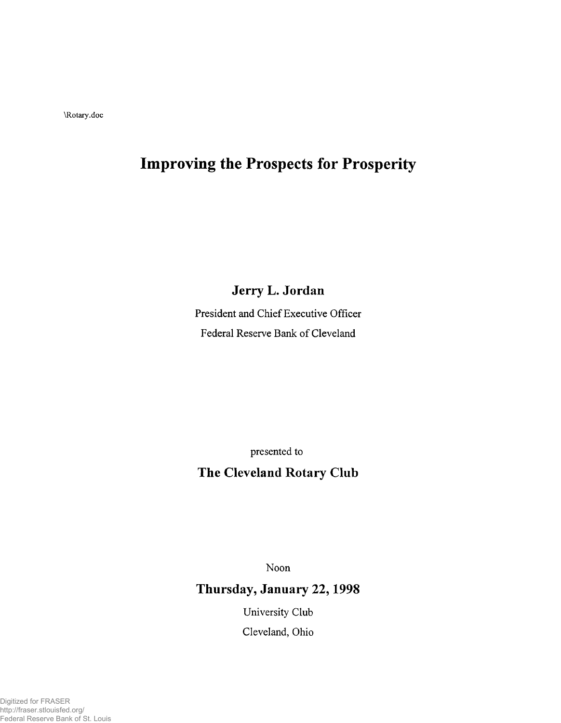\Rotary.doc

# **Improving the Prospects for Prosperity**

**Jerry L. Jordan**

President and Chief Executive Officer Federal Reserve Bank of Cleveland

presented to

# **The Cleveland Rotary Club**

Noon

# **Thursday, January 22,1998**

University Club Cleveland, Ohio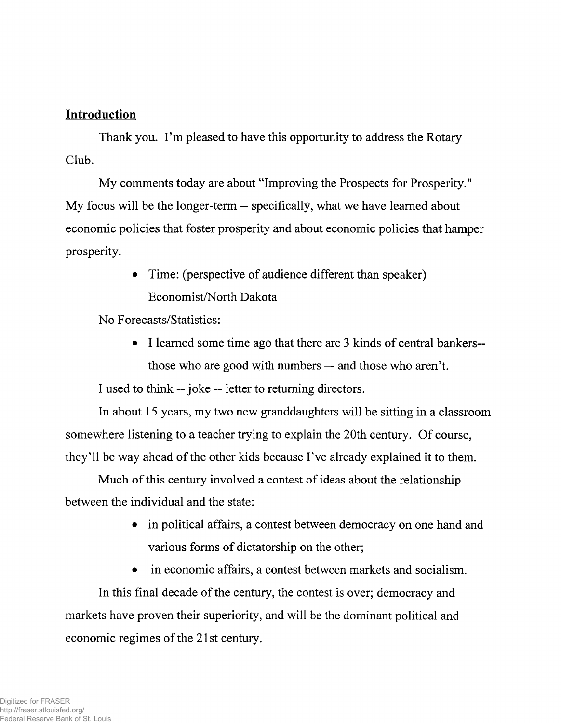#### **Introduction**

Thank you. I'm pleased to have this opportunity to address the Rotary Club.

My comments today are about "Improving the Prospects for Prosperity." My focus will be the longer-term — specifically, what we have learned about economic policies that foster prosperity and about economic policies that hamper prosperity.

> • Time: (perspective of audience different than speaker) Economist/North Dakota

No Forecasts/Statistics:

• I learned some time ago that there are 3 kinds of central bankers those who are good with numbers — and those who aren't.

I used to think — joke — letter to returning directors.

In about 15 years, my two new granddaughters will be sitting in a classroom somewhere listening to a teacher trying to explain the 20th century. Of course, they'll be way ahead of the other kids because I've already explained it to them.

Much of this century involved a contest of ideas about the relationship between the individual and the state:

- in political affairs, a contest between democracy on one hand and various forms of dictatorship on the other;
- in economic affairs, a contest between markets and socialism.

In this final decade of the century, the contest is over; democracy and markets have proven their superiority, and will be the dominant political and economic regimes of the 21st century.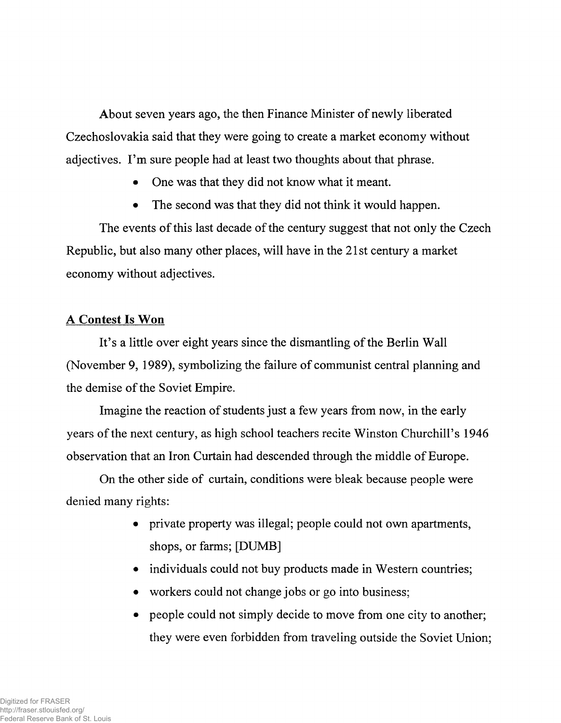About seven years ago, the then Finance Minister of newly liberated Czechoslovakia said that they were going to create a market economy without adjectives. I'm sure people had at least two thoughts about that phrase.

- One was that they did not know what it meant.
- The second was that they did not think it would happen.

The events of this last decade of the century suggest that not only the Czech Republic, but also many other places, will have in the 21st century a market economy without adjectives.

#### A Contest Is Won

It's a little over eight years since the dismantling of the Berlin Wall (November 9, 1989), symbolizing the failure of communist central planning and the demise of the Soviet Empire.

Imagine the reaction of students just a few years from now, in the early years of the next century, as high school teachers recite Winston Churchill's 1946 observation that an Iron Curtain had descended through the middle of Europe.

On the other side of curtain, conditions were bleak because people were denied many rights:

- private property was illegal; people could not own apartments, shops, or farms; [DUMB]
- individuals could not buy products made in Western countries;
- workers could not change jobs or go into business;
- people could not simply decide to move from one city to another; they were even forbidden from traveling outside the Soviet Union;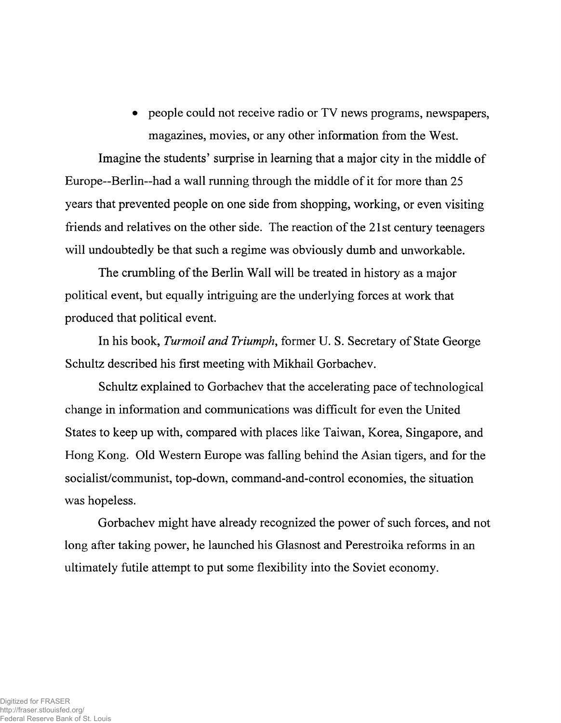• people could not receive radio or TV news programs, newspapers, magazines, movies, or any other information from the West.

Imagine the students' surprise in learning that a major city in the middle of Europe—Berlin—had a wall running through the middle of it for more than 25 years that prevented people on one side from shopping, working, or even visiting friends and relatives on the other side. The reaction of the 21st century teenagers will undoubtedly be that such a regime was obviously dumb and unworkable.

The crumbling of the Berlin Wall will be treated in history as a major political event, but equally intriguing are the underlying forces at work that produced that political event.

In his book, *Turmoil and Triumph,* former U. S. Secretary of State George Schultz described his first meeting with Mikhail Gorbachev.

Schultz explained to Gorbachev that the accelerating pace of technological change in information and communications was difficult for even the United States to keep up with, compared with places like Taiwan, Korea, Singapore, and Hong Kong. Old Western Europe was falling behind the Asian tigers, and for the socialist/communist, top-down, command-and-control economies, the situation was hopeless.

Gorbachev might have already recognized the power of such forces, and not long after taking power, he launched his Glasnost and Perestroika reforms in an ultimately futile attempt to put some flexibility into the Soviet economy.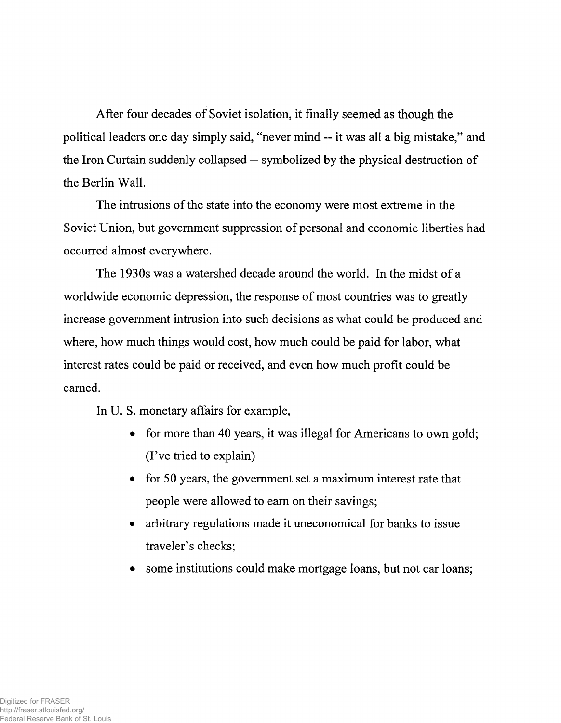After four decades of Soviet isolation, it finally seemed as though the political leaders one day simply said, "never mind — it was all a big mistake," and the Iron Curtain suddenly collapsed — symbolized by the physical destruction of the Berlin Wall.

The intrusions of the state into the economy were most extreme in the Soviet Union, but government suppression of personal and economic liberties had occurred almost everywhere.

The 1930s was a watershed decade around the world. In the midst of a worldwide economic depression, the response of most countries was to greatly increase government intrusion into such decisions as what could be produced and where, how much things would cost, how much could be paid for labor, what interest rates could be paid or received, and even how much profit could be earned.

In U. S. monetary affairs for example,

- for more than 40 years, it was illegal for Americans to own gold; (I've tried to explain)
- for 50 years, the government set a maximum interest rate that people were allowed to earn on their savings;
- arbitrary regulations made it uneconomical for banks to issue traveler's checks;
- some institutions could make mortgage loans, but not car loans;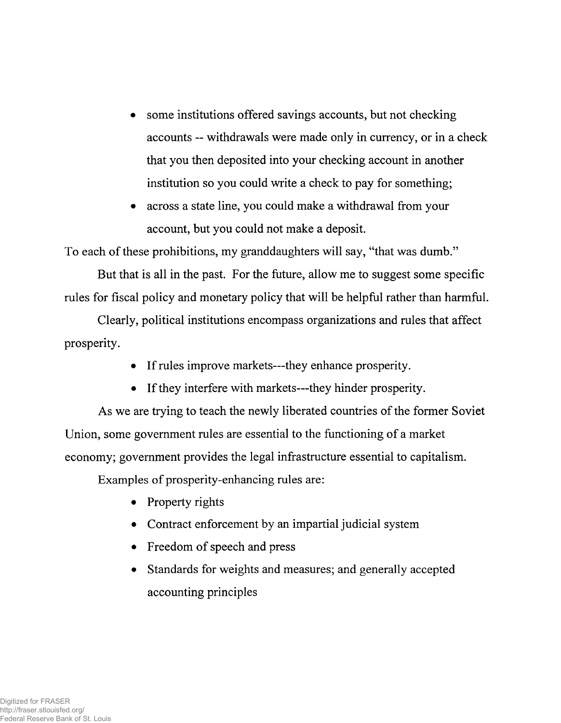- some institutions offered savings accounts, but not checking accounts -- withdrawals were made only in currency, or in a check that you then deposited into your checking account in another institution so you could write a check to pay for something;
- across a state line, you could make a withdrawal from your account, but you could not make a deposit.

To each of these prohibitions, my granddaughters will say, "that was dumb."

But that is all in the past. For the future, allow me to suggest some specific rules for fiscal policy and monetary policy that will be helpful rather than harmful.

Clearly, political institutions encompass organizations and rules that affect prosperity.

- If rules improve markets—they enhance prosperity.
- If they interfere with markets---they hinder prosperity.

As we are trying to teach the newly liberated countries of the former Soviet Union, some government rules are essential to the functioning of a market economy; government provides the legal infrastructure essential to capitalism.

Examples of prosperity-enhancing rules are:

- Property rights
- Contract enforcement by an impartial judicial system
- Freedom of speech and press
- Standards for weights and measures; and generally accepted accounting principles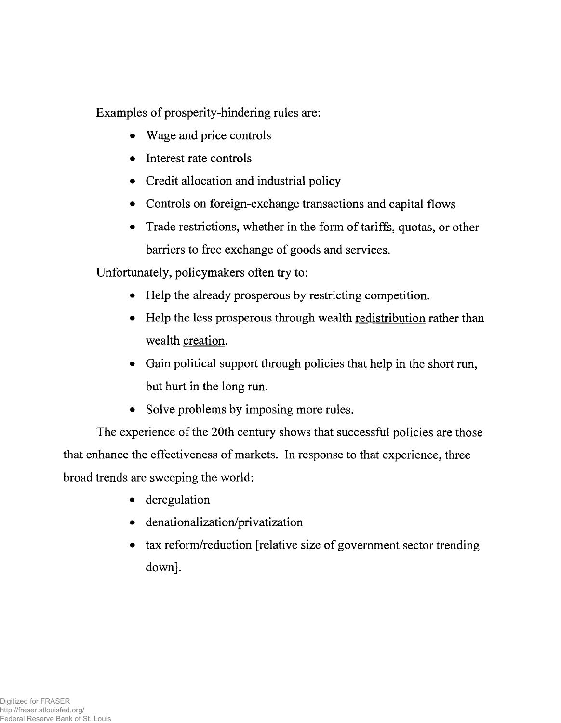Examples of prosperity-hindering rules are:

- Wage and price controls
- Interest rate controls
- Credit allocation and industrial policy
- Controls on foreign-exchange transactions and capital flows
- Trade restrictions, whether in the form of tariffs, quotas, or other barriers to free exchange of goods and services.

Unfortunately, policymakers often try to:

- Help the already prosperous by restricting competition.
- Help the less prosperous through wealth redistribution rather than wealth creation.
- Gain political support through policies that help in the short run, but hurt in the long run.
- Solve problems by imposing more rules.

The experience of the 20th century shows that successful policies are those that enhance the effectiveness of markets. In response to that experience, three broad trends are sweeping the world:

- deregulation
- denationalization/privatization
- tax reform/reduction [relative size of government sector trending down].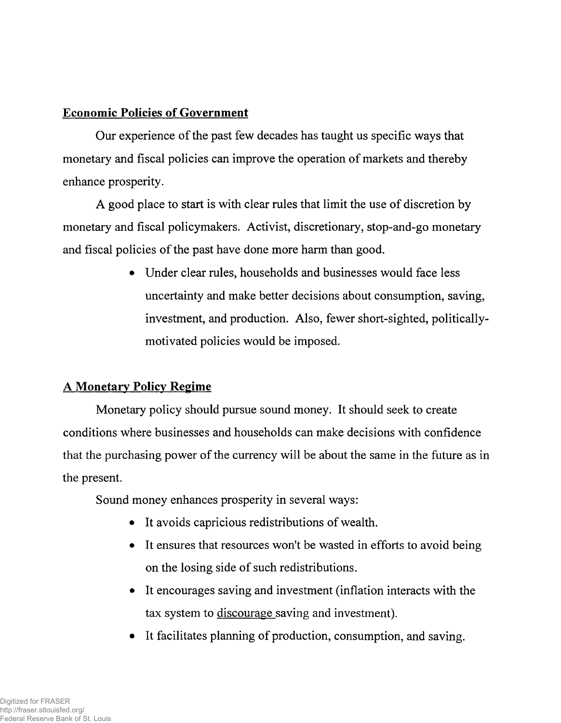### **Economic Policies of Government**

Our experience of the past few decades has taught us specific ways that monetary and fiscal policies can improve the operation of markets and thereby enhance prosperity.

A good place to start is with clear rules that limit the use of discretion by monetary and fiscal policymakers. Activist, discretionary, stop-and-go monetary and fiscal policies of the past have done more harm than good.

> • Under clear rules, households and businesses would face less uncertainty and make better decisions about consumption, saving, investment, and production. Also, fewer short-sighted, politicallymotivated policies would be imposed.

## A **Monetary Policy Regime**

Monetary policy should pursue sound money. It should seek to create conditions where businesses and households can make decisions with confidence that the purchasing power of the currency will be about the same in the future as in the present.

Sound money enhances prosperity in several ways:

- It avoids capricious redistributions of wealth.
- It ensures that resources won't be wasted in efforts to avoid being on the losing side of such redistributions.
- It encourages saving and investment (inflation interacts with the tax system to discourage saving and investment).
- It facilitates planning of production, consumption, and saving.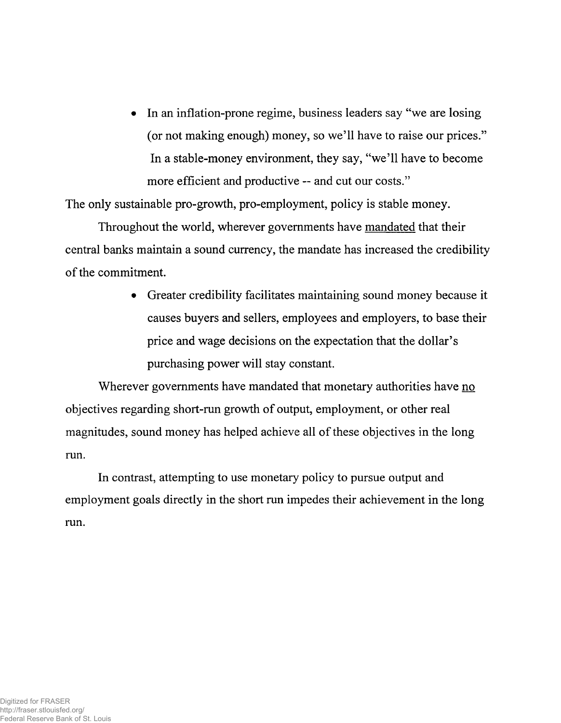• In an inflation-prone regime, business leaders say "we are losing (or not making enough) money, so we'll have to raise our prices." In a stable-money environment, they say, "we'll have to become more efficient and productive — and cut our costs."

The only sustainable pro-growth, pro-employment, policy is stable money.

Throughout the world, wherever governments have mandated that their central banks maintain a sound currency, the mandate has increased the credibility of the commitment.

> • Greater credibility facilitates maintaining sound money because it causes buyers and sellers, employees and employers, to base their price and wage decisions on the expectation that the dollar's purchasing power will stay constant.

Wherever governments have mandated that monetary authorities have no objectives regarding short-run growth of output, employment, or other real magnitudes, sound money has helped achieve all of these objectives in the long run.

In contrast, attempting to use monetary policy to pursue output and employment goals directly in the short run impedes their achievement in the long run.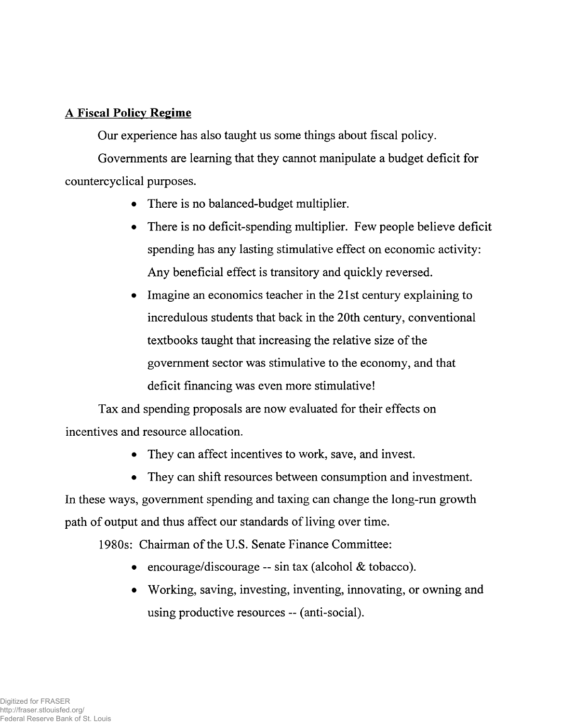#### **A Fiscal Policy Regime**

Our experience has also taught us some things about fiscal policy.

Governments are learning that they cannot manipulate a budget deficit for countercyclical purposes.

- There is no balanced-budget multiplier.
- There is no deficit-spending multiplier. Few people believe deficit spending has any lasting stimulative effect on economic activity: Any beneficial effect is transitory and quickly reversed.
- Imagine an economics teacher in the 21st century explaining to incredulous students that back in the 20th century, conventional textbooks taught that increasing the relative size of the government sector was stimulative to the economy, and that deficit financing was even more stimulative!

Tax and spending proposals are now evaluated for their effects on incentives and resource allocation.

- They can affect incentives to work, save, and invest.
- They can shift resources between consumption and investment.

In these ways, government spending and taxing can change the long-run growth path of output and thus affect our standards of living over time.

1980s: Chairman of the U.S. Senate Finance Committee:

- encourage/discourage -- sin tax (alcohol & tobacco).
- Working, saving, investing, inventing, innovating, or owning and using productive resources — (anti-social).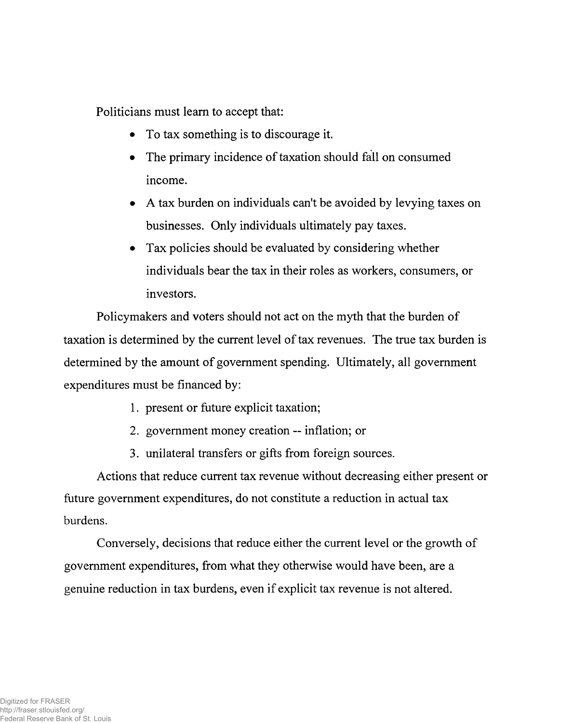Politicians must learn to accept that:

- To tax something is to discourage it.
- The primary incidence of taxation should fall on consumed income.
- A tax burden on individuals can't be avoided by levying taxes on businesses. Only individuals ultimately pay taxes.
- Tax policies should be evaluated by considering whether individuals bear the tax in their roles as workers, consumers, or investors.

Policymakers and voters should not act on the myth that the burden of taxation is determined by the current level of tax revenues. The true tax burden is determined by the amount of government spending. Ultimately, all government expenditures must be financed by:

- 1. present or future explicit taxation;
- 2. government money creation inflation; or
- 3. unilateral transfers or gifts from foreign sources.

Actions that reduce current tax revenue without decreasing either present or future government expenditures, do not constitute a reduction in actual tax burdens.

Conversely, decisions that reduce either the current level or the growth of government expenditures, from what they otherwise would have been, are a genuine reduction in tax burdens, even if explicit tax revenue is not altered.